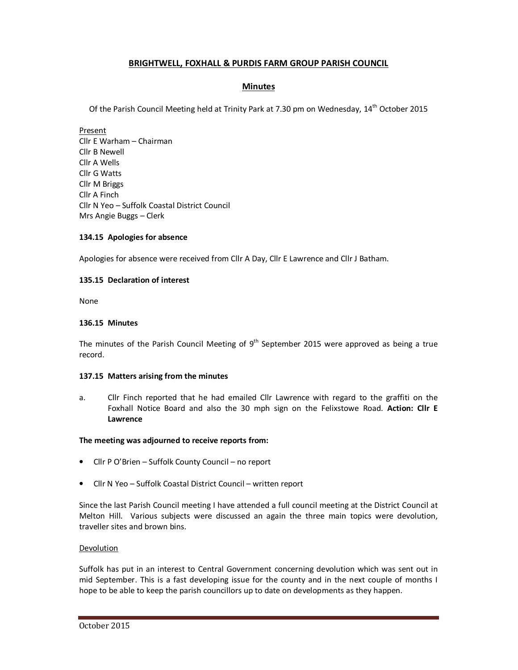# **BRIGHTWELL, FOXHALL & PURDIS FARM GROUP PARISH COUNCIL**

# **Minutes**

Of the Parish Council Meeting held at Trinity Park at 7.30 pm on Wednesday, 14th October 2015

Present Cllr E Warham – Chairman Cllr B Newell Cllr A Wells Cllr G Watts Cllr M Briggs Cllr A Finch Cllr N Yeo – Suffolk Coastal District Council Mrs Angie Buggs – Clerk

# **134.15 Apologies for absence**

Apologies for absence were received from Cllr A Day, Cllr E Lawrence and Cllr J Batham.

## **135.15 Declaration of interest**

None

## **136.15 Minutes**

The minutes of the Parish Council Meeting of  $9<sup>th</sup>$  September 2015 were approved as being a true record.

## **137.15 Matters arising from the minutes**

a. Cllr Finch reported that he had emailed Cllr Lawrence with regard to the graffiti on the Foxhall Notice Board and also the 30 mph sign on the Felixstowe Road. **Action: Cllr E Lawrence** 

## **The meeting was adjourned to receive reports from:**

- Cllr P O'Brien Suffolk County Council no report
- Cllr N Yeo Suffolk Coastal District Council written report

Since the last Parish Council meeting I have attended a full council meeting at the District Council at Melton Hill. Various subjects were discussed an again the three main topics were devolution, traveller sites and brown bins.

## **Devolution**

Suffolk has put in an interest to Central Government concerning devolution which was sent out in mid September. This is a fast developing issue for the county and in the next couple of months I hope to be able to keep the parish councillors up to date on developments as they happen.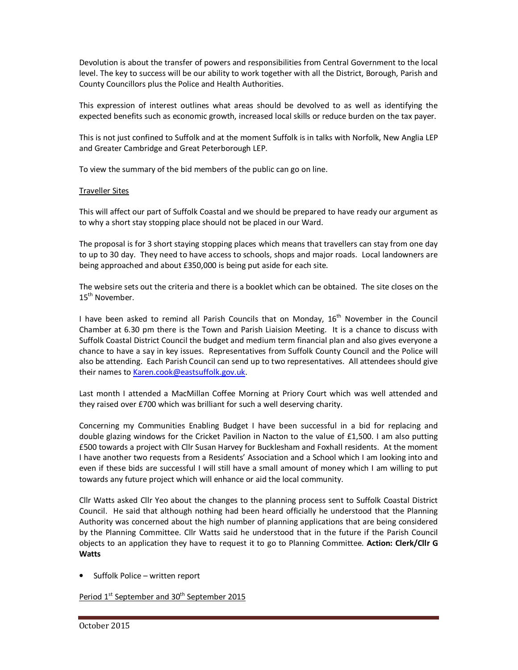Devolution is about the transfer of powers and responsibilities from Central Government to the local level. The key to success will be our ability to work together with all the District, Borough, Parish and County Councillors plus the Police and Health Authorities.

This expression of interest outlines what areas should be devolved to as well as identifying the expected benefits such as economic growth, increased local skills or reduce burden on the tax payer.

This is not just confined to Suffolk and at the moment Suffolk is in talks with Norfolk, New Anglia LEP and Greater Cambridge and Great Peterborough LEP.

To view the summary of the bid members of the public can go on line.

# Traveller Sites

This will affect our part of Suffolk Coastal and we should be prepared to have ready our argument as to why a short stay stopping place should not be placed in our Ward.

The proposal is for 3 short staying stopping places which means that travellers can stay from one day to up to 30 day. They need to have access to schools, shops and major roads. Local landowners are being approached and about £350,000 is being put aside for each site.

The websire sets out the criteria and there is a booklet which can be obtained. The site closes on the 15<sup>th</sup> November.

I have been asked to remind all Parish Councils that on Monday, 16<sup>th</sup> November in the Council Chamber at 6.30 pm there is the Town and Parish Liaision Meeting. It is a chance to discuss with Suffolk Coastal District Council the budget and medium term financial plan and also gives everyone a chance to have a say in key issues. Representatives from Suffolk County Council and the Police will also be attending. Each Parish Council can send up to two representatives. All attendees should give their names to Karen.cook@eastsuffolk.gov.uk.

Last month I attended a MacMillan Coffee Morning at Priory Court which was well attended and they raised over £700 which was brilliant for such a well deserving charity.

Concerning my Communities Enabling Budget I have been successful in a bid for replacing and double glazing windows for the Cricket Pavilion in Nacton to the value of £1,500. I am also putting £500 towards a project with Cllr Susan Harvey for Bucklesham and Foxhall residents. At the moment I have another two requests from a Residents' Association and a School which I am looking into and even if these bids are successful I will still have a small amount of money which I am willing to put towards any future project which will enhance or aid the local community.

Cllr Watts asked Cllr Yeo about the changes to the planning process sent to Suffolk Coastal District Council. He said that although nothing had been heard officially he understood that the Planning Authority was concerned about the high number of planning applications that are being considered by the Planning Committee. Cllr Watts said he understood that in the future if the Parish Council objects to an application they have to request it to go to Planning Committee. **Action: Clerk/Cllr G Watts** 

• Suffolk Police – written report

Period 1<sup>st</sup> September and 30<sup>th</sup> September 2015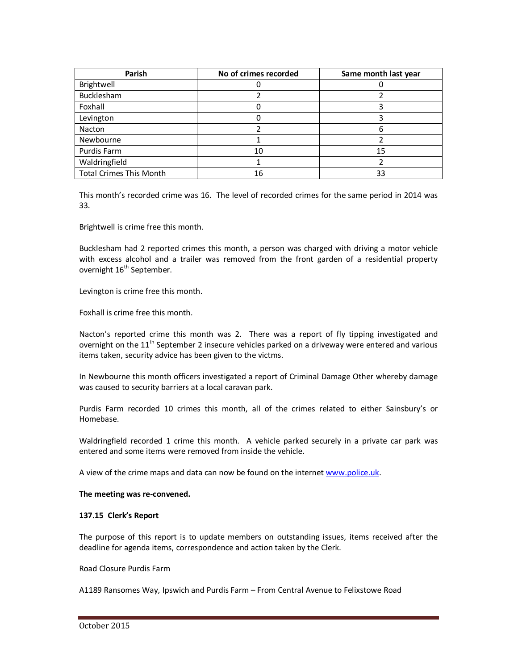| Parish                         | No of crimes recorded | Same month last year |
|--------------------------------|-----------------------|----------------------|
| Brightwell                     |                       |                      |
| Bucklesham                     |                       |                      |
| Foxhall                        |                       |                      |
| Levington                      |                       |                      |
| Nacton                         |                       |                      |
| Newbourne                      |                       |                      |
| Purdis Farm                    | 10                    | 15                   |
| Waldringfield                  |                       |                      |
| <b>Total Crimes This Month</b> | 16                    | 33                   |

This month's recorded crime was 16. The level of recorded crimes for the same period in 2014 was 33.

Brightwell is crime free this month.

Bucklesham had 2 reported crimes this month, a person was charged with driving a motor vehicle with excess alcohol and a trailer was removed from the front garden of a residential property overnight  $16<sup>th</sup>$  September.

Levington is crime free this month.

Foxhall is crime free this month.

Nacton's reported crime this month was 2. There was a report of fly tipping investigated and overnight on the 11<sup>th</sup> September 2 insecure vehicles parked on a driveway were entered and various items taken, security advice has been given to the victms.

In Newbourne this month officers investigated a report of Criminal Damage Other whereby damage was caused to security barriers at a local caravan park.

Purdis Farm recorded 10 crimes this month, all of the crimes related to either Sainsbury's or Homebase.

Waldringfield recorded 1 crime this month. A vehicle parked securely in a private car park was entered and some items were removed from inside the vehicle.

A view of the crime maps and data can now be found on the internet www.police.uk.

## **The meeting was re-convened.**

## **137.15 Clerk's Report**

The purpose of this report is to update members on outstanding issues, items received after the deadline for agenda items, correspondence and action taken by the Clerk.

#### Road Closure Purdis Farm

A1189 Ransomes Way, Ipswich and Purdis Farm – From Central Avenue to Felixstowe Road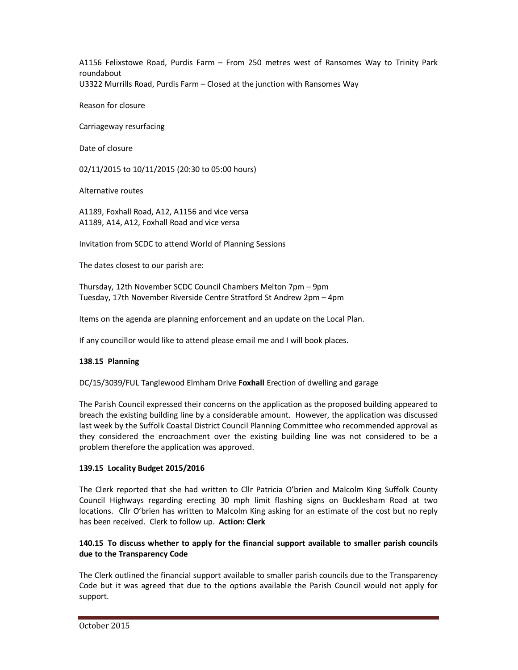A1156 Felixstowe Road, Purdis Farm – From 250 metres west of Ransomes Way to Trinity Park roundabout U3322 Murrills Road, Purdis Farm – Closed at the junction with Ransomes Way

Reason for closure

Carriageway resurfacing

Date of closure

02/11/2015 to 10/11/2015 (20:30 to 05:00 hours)

Alternative routes

A1189, Foxhall Road, A12, A1156 and vice versa A1189, A14, A12, Foxhall Road and vice versa

Invitation from SCDC to attend World of Planning Sessions

The dates closest to our parish are:

Thursday, 12th November SCDC Council Chambers Melton 7pm – 9pm Tuesday, 17th November Riverside Centre Stratford St Andrew 2pm – 4pm

Items on the agenda are planning enforcement and an update on the Local Plan.

If any councillor would like to attend please email me and I will book places.

## **138.15 Planning**

DC/15/3039/FUL Tanglewood Elmham Drive **Foxhall** Erection of dwelling and garage

The Parish Council expressed their concerns on the application as the proposed building appeared to breach the existing building line by a considerable amount. However, the application was discussed last week by the Suffolk Coastal District Council Planning Committee who recommended approval as they considered the encroachment over the existing building line was not considered to be a problem therefore the application was approved.

## **139.15 Locality Budget 2015/2016**

The Clerk reported that she had written to Cllr Patricia O'brien and Malcolm King Suffolk County Council Highways regarding erecting 30 mph limit flashing signs on Bucklesham Road at two locations. Cllr O'brien has written to Malcolm King asking for an estimate of the cost but no reply has been received. Clerk to follow up. **Action: Clerk** 

# **140.15 To discuss whether to apply for the financial support available to smaller parish councils due to the Transparency Code**

The Clerk outlined the financial support available to smaller parish councils due to the Transparency Code but it was agreed that due to the options available the Parish Council would not apply for support.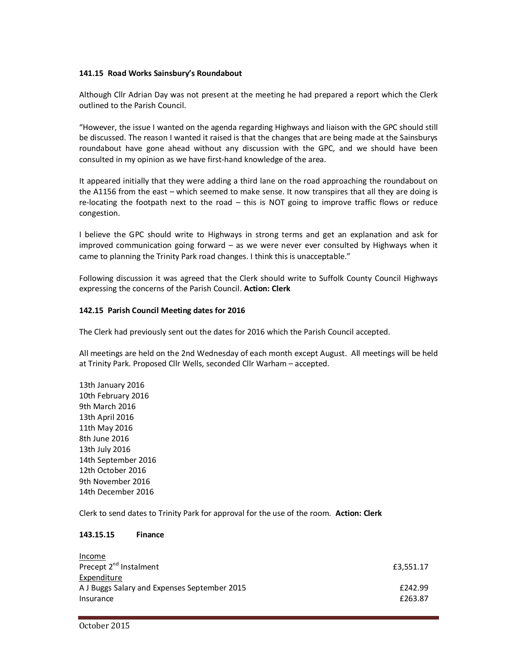## **141.15 Road Works Sainsbury's Roundabout**

Although Cllr Adrian Day was not present at the meeting he had prepared a report which the Clerk outlined to the Parish Council.

"However, the issue I wanted on the agenda regarding Highways and liaison with the GPC should still be discussed. The reason I wanted it raised is that the changes that are being made at the Sainsburys roundabout have gone ahead without any discussion with the GPC, and we should have been consulted in my opinion as we have first-hand knowledge of the area.

It appeared initially that they were adding a third lane on the road approaching the roundabout on the A1156 from the east – which seemed to make sense. It now transpires that all they are doing is re-locating the footpath next to the road – this is NOT going to improve traffic flows or reduce congestion.

I believe the GPC should write to Highways in strong terms and get an explanation and ask for improved communication going forward – as we were never ever consulted by Highways when it came to planning the Trinity Park road changes. I think this is unacceptable."

Following discussion it was agreed that the Clerk should write to Suffolk County Council Highways expressing the concerns of the Parish Council. **Action: Clerk** 

#### **142.15 Parish Council Meeting dates for 2016**

The Clerk had previously sent out the dates for 2016 which the Parish Council accepted.

All meetings are held on the 2nd Wednesday of each month except August. All meetings will be held at Trinity Park. Proposed Cllr Wells, seconded Cllr Warham – accepted.

13th January 2016 10th February 2016 9th March 2016 13th April 2016 11th May 2016 8th June 2016 13th July 2016 14th September 2016 12th October 2016 9th November 2016 14th December 2016

Clerk to send dates to Trinity Park for approval for the use of the room. **Action: Clerk** 

#### **143.15.15 Finance**

| Income                                       |           |
|----------------------------------------------|-----------|
| Precept 2 <sup>nd</sup> Instalment           | £3.551.17 |
| Expenditure                                  |           |
| A J Buggs Salary and Expenses September 2015 | £242.99   |
| Insurance                                    | £263.87   |
|                                              |           |